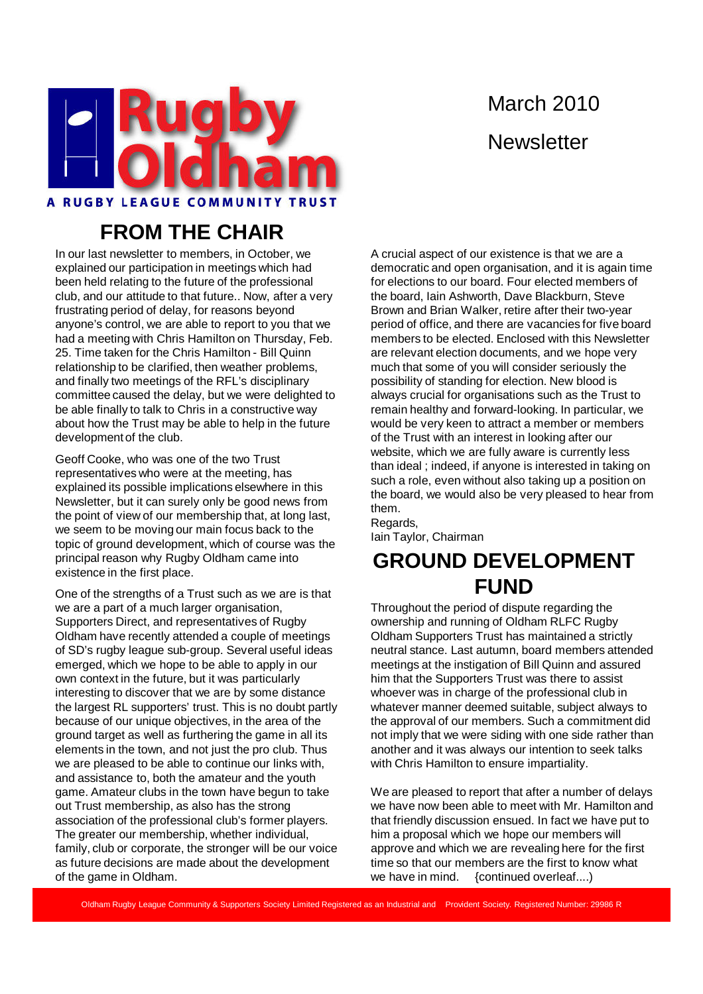

# March 2010 **Newsletter**

## **FROM THE CHAIR**

In our last newsletter to members, in October, we explained our participation in meetings which had been held relating to the future of the professional club, and our attitude to that future.. Now, after a very frustrating period of delay, for reasons beyond anyone's control, we are able to report to you that we had a meeting with Chris Hamilton on Thursday, Feb. 25. Time taken for the Chris Hamilton - Bill Quinn relationship to be clarified, then weather problems, and finally two meetings of the RFL's disciplinary committee caused the delay, but we were delighted to be able finally to talk to Chris in a constructive way about how the Trust may be able to help in the future development of the club.

Geoff Cooke, who was one of the two Trust representatives who were at the meeting, has explained its possible implications elsewhere in this Newsletter, but it can surely only be good news from the point of view of our membership that, at long last, we seem to be moving our main focus back to the topic of ground development, which of course was the principal reason why Rugby Oldham came into existence in the first place.

One of the strengths of a Trust such as we are is that we are a part of a much larger organisation, Supporters Direct, and representatives of Rugby Oldham have recently attended a couple of meetings of SD's rugby league sub-group. Several useful ideas emerged, which we hope to be able to apply in our own context in the future, but it was particularly interesting to discover that we are by some distance the largest RL supporters' trust. This is no doubt partly because of our unique objectives, in the area of the ground target as well as furthering the game in all its elements in the town, and not just the pro club. Thus we are pleased to be able to continue our links with, and assistance to, both the amateur and the youth game. Amateur clubs in the town have begun to take out Trust membership, as also has the strong association of the professional club's former players. The greater our membership, whether individual, family, club or corporate, the stronger will be our voice as future decisions are made about the development of the game in Oldham.

A crucial aspect of our existence is that we are a democratic and open organisation, and it is again time for elections to our board. Four elected members of the board, Iain Ashworth, Dave Blackburn, Steve Brown and Brian Walker, retire after their two-year period of office, and there are vacancies for five board members to be elected. Enclosed with this Newsletter are relevant election documents, and we hope very much that some of you will consider seriously the possibility of standing for election. New blood is always crucial for organisations such as the Trust to remain healthy and forward-looking. In particular, we would be very keen to attract a member or members of the Trust with an interest in looking after our website, which we are fully aware is currently less than ideal ; indeed, if anyone is interested in taking on such a role, even without also taking up a position on the board, we would also be very pleased to hear from them.

Regards, Iain Taylor, Chairman

## **GROUND DEVELOPMENT FUND**

Throughout the period of dispute regarding the ownership and running of Oldham RLFC Rugby Oldham Supporters Trust has maintained a strictly neutral stance. Last autumn, board members attended meetings at the instigation of Bill Quinn and assured him that the Supporters Trust was there to assist whoever was in charge of the professional club in whatever manner deemed suitable, subject always to the approval of our members. Such a commitment did not imply that we were siding with one side rather than another and it was always our intention to seek talks with Chris Hamilton to ensure impartiality.

We are pleased to report that after a number of delays we have now been able to meet with Mr. Hamilton and that friendly discussion ensued. In fact we have put to him a proposal which we hope our members will approve and which we are revealing here for the first time so that our members are the first to know what we have in mind. {continued overleaf...}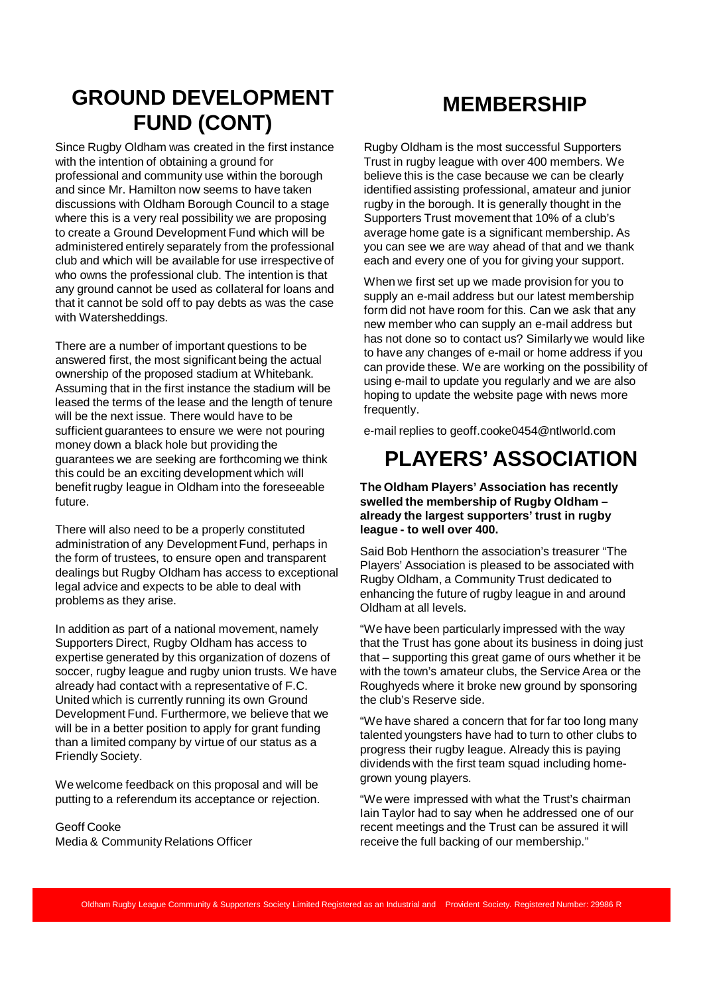### **GROUND DEVELOPMENT FUND (CONT)**

Since Rugby Oldham was created in the first instance with the intention of obtaining a ground for professional and community use within the borough and since Mr. Hamilton now seems to have taken discussions with Oldham Borough Council to a stage where this is a very real possibility we are proposing to create a Ground Development Fund which will be administered entirely separately from the professional club and which will be available for use irrespective of who owns the professional club. The intention is that any ground cannot be used as collateral for loans and that it cannot be sold off to pay debts as was the case with Watersheddings.

There are a number of important questions to be answered first, the most significant being the actual ownership of the proposed stadium at Whitebank. Assuming that in the first instance the stadium will be leased the terms of the lease and the length of tenure will be the next issue. There would have to be sufficient guarantees to ensure we were not pouring money down a black hole but providing the guarantees we are seeking are forthcoming we think this could be an exciting development which will benefit rugby league in Oldham into the foreseeable future.

There will also need to be a properly constituted administration of any Development Fund, perhaps in the form of trustees, to ensure open and transparent dealings but Rugby Oldham has access to exceptional legal advice and expects to be able to deal with problems as they arise.

In addition as part of a national movement, namely Supporters Direct, Rugby Oldham has access to expertise generated by this organization of dozens of soccer, rugby league and rugby union trusts. We have already had contact with a representative of F.C. United which is currently running its own Ground Development Fund. Furthermore, we believe that we will be in a better position to apply for grant funding than a limited company by virtue of our status as a Friendly Society.

We welcome feedback on this proposal and will be putting to a referendum its acceptance or rejection.

Geoff Cooke Media & Community Relations Officer

#### **MEMBERSHIP**

Rugby Oldham is the most successful Supporters Trust in rugby league with over 400 members. We believe this is the case because we can be clearly identified assisting professional, amateur and junior rugby in the borough. It is generally thought in the Supporters Trust movement that 10% of a club's average home gate is a significant membership. As you can see we are way ahead of that and we thank each and every one of you for giving your support.

When we first set up we made provision for you to supply an e-mail address but our latest membership form did not have room for this. Can we ask that any new member who can supply an e-mail address but has not done so to contact us? Similarly we would like to have any changes of e-mail or home address if you can provide these. We are working on the possibility of using e-mail to update you regularly and we are also hoping to update the website page with news more frequently.

e-mail replies to geoff.cooke0454@ntlworld.com

### **PLAYERS' ASSOCIATION**

**The Oldham Players' Association has recently swelled the membership of Rugby Oldham – already the largest supporters' trust in rugby league - to well over 400.**

Said Bob Henthorn the association's treasurer "The Players' Association is pleased to be associated with Rugby Oldham, a Community Trust dedicated to enhancing the future of rugby league in and around Oldham at all levels.

"We have been particularly impressed with the way that the Trust has gone about its business in doing just that – supporting this great game of ours whether it be with the town's amateur clubs, the Service Area or the Roughyeds where it broke new ground by sponsoring the club's Reserve side.

"We have shared a concern that for far too long many talented youngsters have had to turn to other clubs to progress their rugby league. Already this is paying dividends with the first team squad including homegrown young players.

"We were impressed with what the Trust's chairman Iain Taylor had to say when he addressed one of our recent meetings and the Trust can be assured it will receive the full backing of our membership."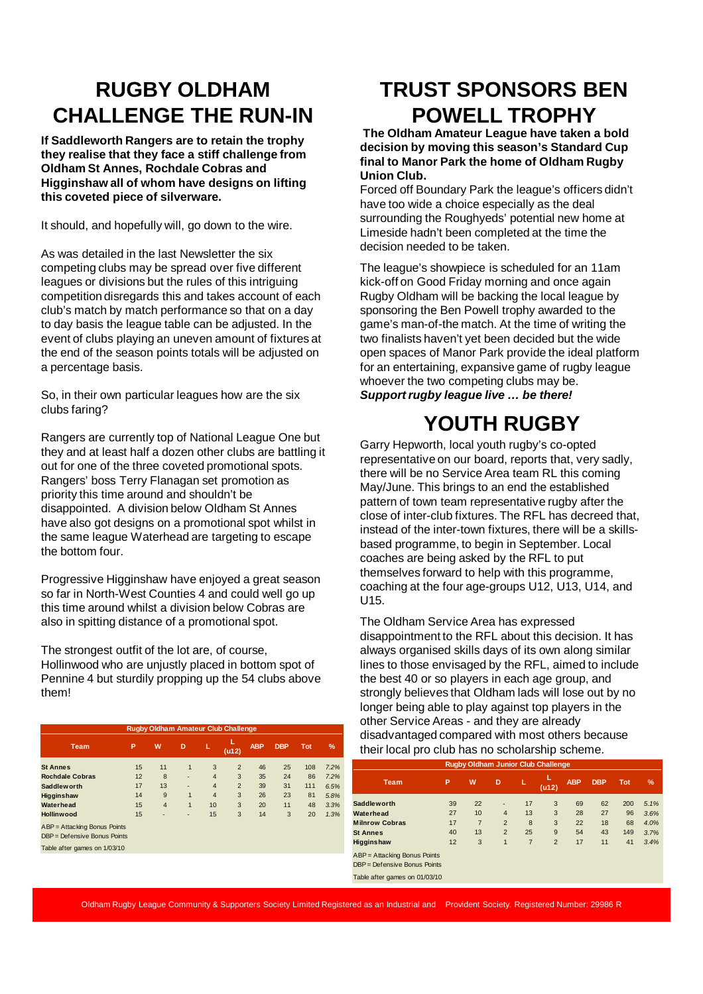### **RUGBY OLDHAM CHALLENGE THE RUN-IN**

**If Saddleworth Rangers are to retain the trophy they realise that they face a stiff challenge from Oldham St Annes, Rochdale Cobras and Higginshaw all of whom have designs on lifting this coveted piece of silverware.** 

It should, and hopefully will, go down to the wire.

As was detailed in the last Newsletter the six competing clubs may be spread over five different leagues or divisions but the rules of this intriguing competition disregards this and takes account of each club's match by match performance so that on a day to day basis the league table can be adjusted. In the event of clubs playing an uneven amount of fixtures at the end of the season points totals will be adjusted on a percentage basis.

So, in their own particular leagues how are the six clubs faring?

Rangers are currently top of National League One but they and at least half a dozen other clubs are battling it out for one of the three coveted promotional spots. Rangers' boss Terry Flanagan set promotion as priority this time around and shouldn't be disappointed. A division below Oldham St Annes have also got designs on a promotional spot whilst in the same league Waterhead are targeting to escape the bottom four.

Progressive Higginshaw have enjoyed a great season so far in North-West Counties 4 and could well go up this time around whilst a division below Cobras are also in spitting distance of a promotional spot.

The strongest outfit of the lot are, of course, Hollinwood who are unjustly placed in bottom spot of Pennine 4 but sturdily propping up the 54 clubs above them!

| <b>Rugby Oldham Amateur Club Challenge</b> |    |                |              |                |                  |            |            |            |      |
|--------------------------------------------|----|----------------|--------------|----------------|------------------|------------|------------|------------|------|
| <b>Team</b>                                | P  | W              | D            | Е              | L<br>$($ u12 $)$ | <b>ABP</b> | <b>DBP</b> | <b>Tot</b> | $\%$ |
| <b>St Annes</b>                            | 15 | 11             | $\mathbf{1}$ | 3              | 2                | 46         | 25         | 108        | 7.2% |
| <b>Rochdale Cobras</b>                     | 12 | 8              | ٠            | $\overline{4}$ | 3                | 35         | 24         | 86         | 7.2% |
| <b>Saddlew orth</b>                        | 17 | 13             | ٠            | $\overline{4}$ | 2                | 39         | 31         | 111        | 6.5% |
| Higginshaw                                 | 14 | 9              | 1            | $\overline{4}$ | 3                | 26         | 23         | 81         | 5.8% |
| <b>Waterhead</b>                           | 15 | $\overline{4}$ | 1            | 10             | 3                | 20         | 11         | 48         | 3.3% |
| <b>Hollinwood</b>                          | 15 | ٠              | ۰            | 15             | 3                | 14         | 3          | 20         | 1.3% |
| ABP = Attacking Bonus Points               |    |                |              |                |                  |            |            |            |      |
| DBP = Defensive Bonus Points               |    |                |              |                |                  |            |            |            |      |
| Table after games on 1/03/10               |    |                |              |                |                  |            |            |            |      |
|                                            |    |                |              |                |                  |            |            |            |      |

### **TRUST SPONSORS BEN POWELL TROPHY**

**The Oldham Amateur League have taken a bold decision by moving this season's Standard Cup final to Manor Park the home of Oldham Rugby Union Club.**

Forced off Boundary Park the league's officers didn't have too wide a choice especially as the deal surrounding the Roughyeds' potential new home at Limeside hadn't been completed at the time the decision needed to be taken.

The league's showpiece is scheduled for an 11am kick-off on Good Friday morning and once again Rugby Oldham will be backing the local league by sponsoring the Ben Powell trophy awarded to the game's man-of-the match. At the time of writing the two finalists haven't yet been decided but the wide open spaces of Manor Park provide the ideal platform for an entertaining, expansive game of rugby league whoever the two competing clubs may be. **Support rugby league live … be there!**

## **YOUTH RUGBY**

Garry Hepworth, local youth rugby's co-opted representative on our board, reports that, very sadly, there will be no Service Area team RL this coming May/June. This brings to an end the established pattern of town team representative rugby after the close of inter-club fixtures. The RFL has decreed that, instead of the inter-town fixtures, there will be a skillsbased programme, to begin in September. Local coaches are being asked by the RFL to put themselves forward to help with this programme, coaching at the four age-groups U12, U13, U14, and U15.

The Oldham Service Area has expressed disappointment to the RFL about this decision. It has always organised skills days of its own along similar lines to those envisaged by the RFL, aimed to include the best 40 or so players in each age group, and strongly believes that Oldham lads will lose out by no longer being able to play against top players in the other Service Areas - and they are already disadvantaged compared with most others because their local pro club has no scholarship scheme.

| <b>Rugby Oldham Junior Club Challenge</b> |    |                |                |    |                |            |            |            |               |  |  |
|-------------------------------------------|----|----------------|----------------|----|----------------|------------|------------|------------|---------------|--|--|
| <b>Team</b>                               | P  | W              | D              | L  | L<br>(u12)     | <b>ABP</b> | <b>DBP</b> | <b>Tot</b> | $\frac{9}{6}$ |  |  |
| <b>Saddleworth</b>                        | 39 | 22             | ٠              | 17 | 3              | 69         | 62         | 200        | 5.1%          |  |  |
| Waterhead                                 | 27 | 10             | $\overline{4}$ | 13 | 3              | 28         | 27         | 96         | 3.6%          |  |  |
| <b>Milnrow Cobras</b>                     | 17 | $\overline{7}$ | $\overline{2}$ | 8  | 3              | 22         | 18         | 68         | 4.0%          |  |  |
| <b>St Annes</b>                           | 40 | 13             | $\overline{2}$ | 25 | 9              | 54         | 43         | 149        | 3.7%          |  |  |
| Higginshaw                                | 12 | 3              | $\mathbf{1}$   | 7  | $\overline{2}$ | 17         | 11         | 41         | 3.4%          |  |  |
| ABP = Attacking Bonus Points              |    |                |                |    |                |            |            |            |               |  |  |
| DBP = Defensive Bonus Points              |    |                |                |    |                |            |            |            |               |  |  |
| Table after games on 01/03/10             |    |                |                |    |                |            |            |            |               |  |  |